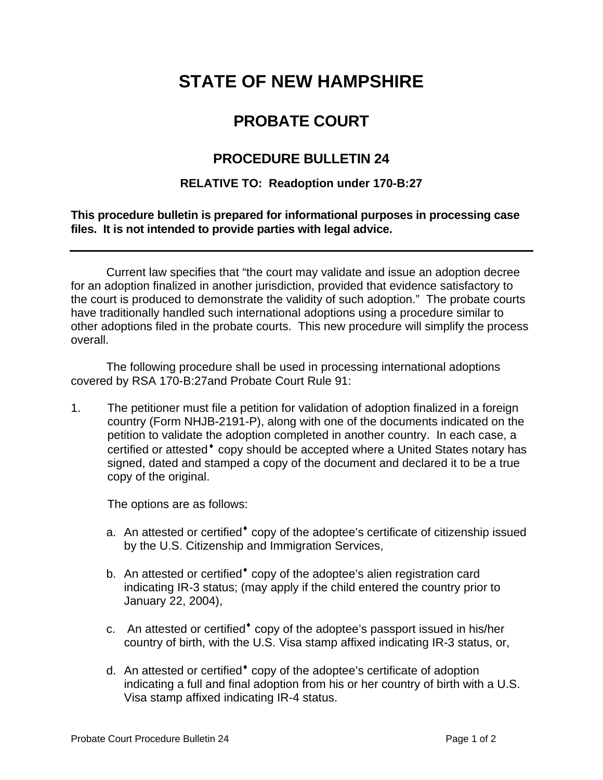# **STATE OF NEW HAMPSHIRE**

## **PROBATE COURT**

## **PROCEDURE BULLETIN 24**

### **RELATIVE TO: Readoption under 170-B:27**

#### **This procedure bulletin is prepared for informational purposes in processing case files. It is not intended to provide parties with legal advice.**

 Current law specifies that "the court may validate and issue an adoption decree for an adoption finalized in another jurisdiction, provided that evidence satisfactory to the court is produced to demonstrate the validity of such adoption." The probate courts have traditionally handled such international adoptions using a procedure similar to other adoptions filed in the probate courts. This new procedure will simplify the process overall.

The following procedure shall be used in processing international adoptions covered by RSA 170-B:27and Probate Court Rule 91:

1. The petitioner must file a petition for validation of adoption finalized in a foreign country (Form NHJB-2191-P), along with one of the documents indicated on the petition to validate the adoption completed in another country. In each case, a certified or attested<sup>\*</sup> copy should be accepted where a United States notary has signed, dated and stamped a copy of the document and declared it to be a true copy of the original.

The options are as follows:

- a. An attested or certified<sup>\*</sup> copy of the adoptee's certificate of citizenship issued by the U.S. Citizenship and Immigration Services,
- b. An attested or certified<sup>\*</sup> copy of the adoptee's alien registration card indicating IR-3 status; (may apply if the child entered the country prior to January 22, 2004),
- c. An attested or certified<sup>\*</sup> copy of the adoptee's passport issued in his/her country of birth, with the U.S. Visa stamp affixed indicating IR-3 status, or,
- d. An attested or certified<sup>\*</sup> copy of the adoptee's certificate of adoption indicating a full and final adoption from his or her country of birth with a U.S. Visa stamp affixed indicating IR-4 status.